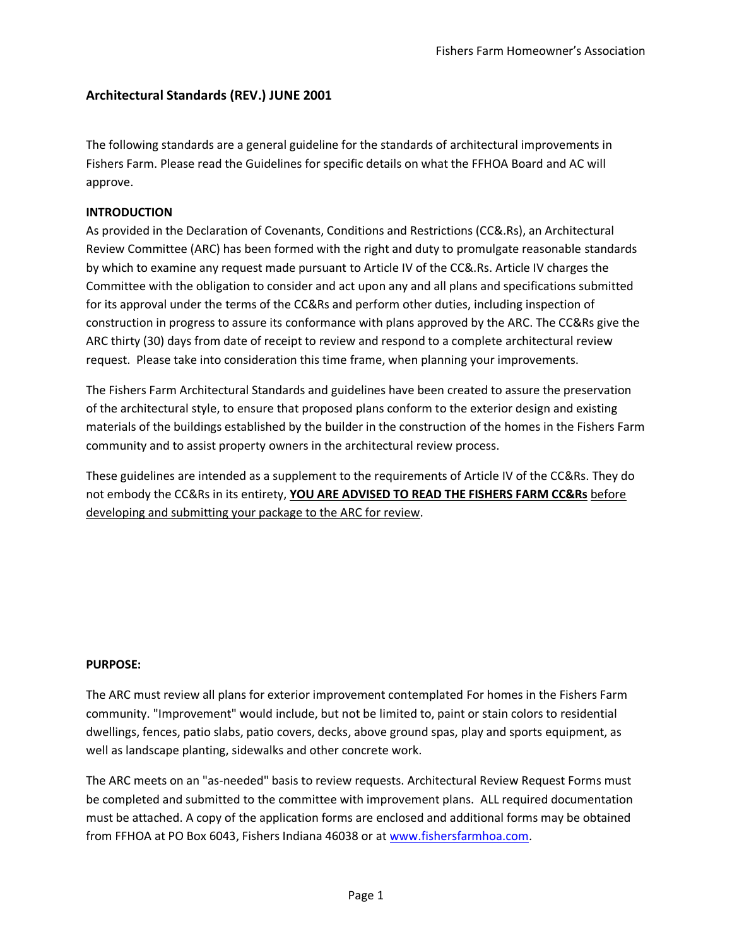# **Architectural Standards (REV.) JUNE 2001**

The following standards are a general guideline for the standards of architectural improvements in Fishers Farm. Please read the Guidelines for specific details on what the FFHOA Board and AC will approve.

### **INTRODUCTION**

As provided in the Declaration of Covenants, Conditions and Restrictions (CC&.Rs), an Architectural Review Committee (ARC) has been formed with the right and duty to promulgate reasonable standards by which to examine any request made pursuant to Article IV of the CC&.Rs. Article IV charges the Committee with the obligation to consider and act upon any and all plans and specifications submitted for its approval under the terms of the CC&Rs and perform other duties, including inspection of construction in progress to assure its conformance with plans approved by the ARC. The CC&Rs give the ARC thirty (30) days from date of receipt to review and respond to a complete architectural review request. Please take into consideration this time frame, when planning your improvements.

The Fishers Farm Architectural Standards and guidelines have been created to assure the preservation of the architectural style, to ensure that proposed plans conform to the exterior design and existing materials of the buildings established by the builder in the construction of the homes in the Fishers Farm community and to assist property owners in the architectural review process.

These guidelines are intended as a supplement to the requirements of Article IV of the CC&Rs. They do not embody the CC&Rs in its entirety, **YOU ARE ADVISED TO READ THE FISHERS FARM CC&Rs** before developing and submitting your package to the ARC for review.

#### **PURPOSE:**

The ARC must review all plans for exterior improvement contemplated For homes in the Fishers Farm community. "Improvement" would include, but not be limited to, paint or stain colors to residential dwellings, fences, patio slabs, patio covers, decks, above ground spas, play and sports equipment, as well as landscape planting, sidewalks and other concrete work.

The ARC meets on an "as-needed" basis to review requests. Architectural Review Request Forms must be completed and submitted to the committee with improvement plans. ALL required documentation must be attached. A copy of the application forms are enclosed and additional forms may be obtained from FFHOA at PO Box 6043, Fishers Indiana 46038 or at [www.fishersfarmhoa.com.](http://www.fishersfarmhoa.com/)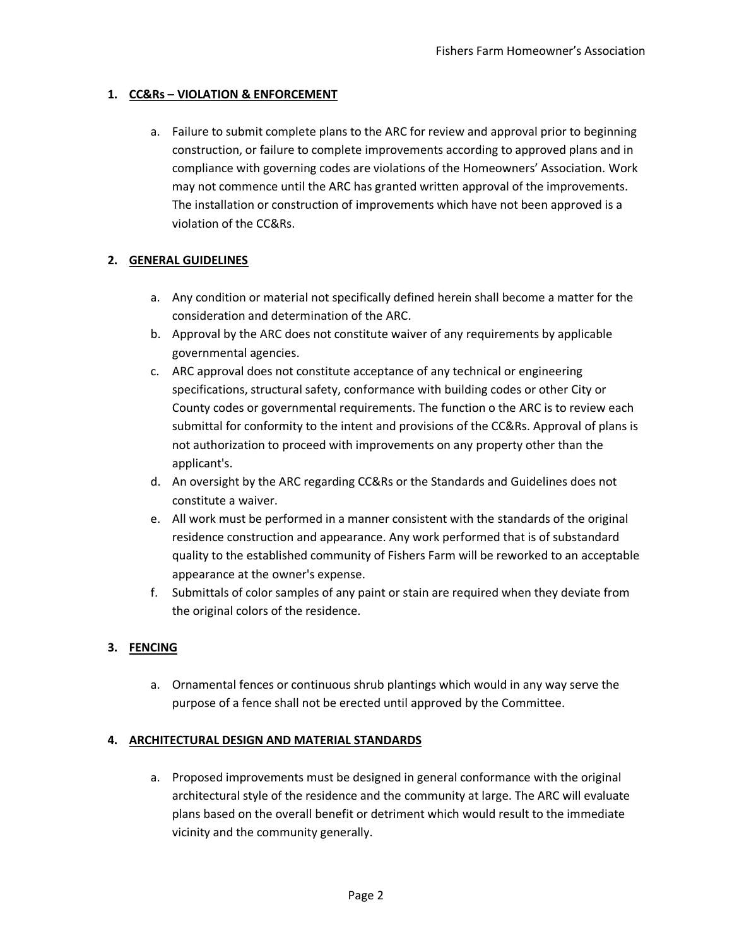## **1. CC&Rs – VIOLATION & ENFORCEMENT**

a. Failure to submit complete plans to the ARC for review and approval prior to beginning construction, or failure to complete improvements according to approved plans and in compliance with governing codes are violations of the Homeowners' Association. Work may not commence until the ARC has granted written approval of the improvements. The installation or construction of improvements which have not been approved is a violation of the CC&Rs.

## **2. GENERAL GUIDELINES**

- a. Any condition or material not specifically defined herein shall become a matter for the consideration and determination of the ARC.
- b. Approval by the ARC does not constitute waiver of any requirements by applicable governmental agencies.
- c. ARC approval does not constitute acceptance of any technical or engineering specifications, structural safety, conformance with building codes or other City or County codes or governmental requirements. The function o the ARC is to review each submittal for conformity to the intent and provisions of the CC&Rs. Approval of plans is not authorization to proceed with improvements on any property other than the applicant's.
- d. An oversight by the ARC regarding CC&Rs or the Standards and Guidelines does not constitute a waiver.
- e. All work must be performed in a manner consistent with the standards of the original residence construction and appearance. Any work performed that is of substandard quality to the established community of Fishers Farm will be reworked to an acceptable appearance at the owner's expense.
- f. Submittals of color samples of any paint or stain are required when they deviate from the original colors of the residence.

# **3. FENCING**

a. Ornamental fences or continuous shrub plantings which would in any way serve the purpose of a fence shall not be erected until approved by the Committee.

### **4. ARCHITECTURAL DESIGN AND MATERIAL STANDARDS**

a. Proposed improvements must be designed in general conformance with the original architectural style of the residence and the community at large. The ARC will evaluate plans based on the overall benefit or detriment which would result to the immediate vicinity and the community generally.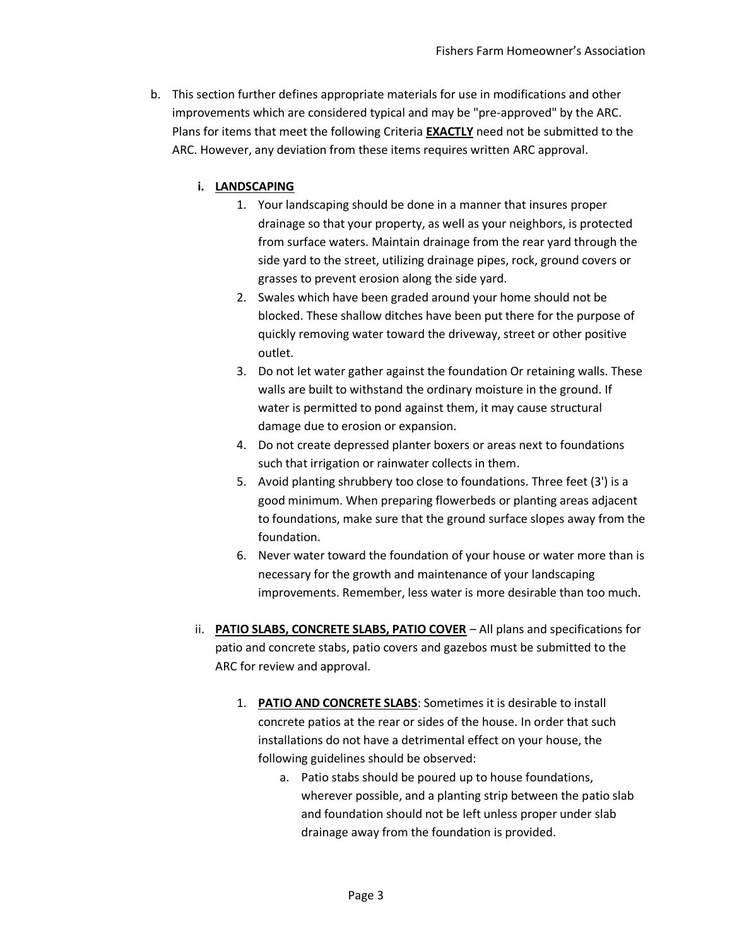b. This section further defines appropriate materials for use in modifications and other improvements which are considered typical and may be "pre-approved" by the ARC. Plans for items that meet the following Criteria **EXACTLY** need not be submitted to the ARC. However, any deviation from these items requires written ARC approval.

### **i. LANDSCAPING**

- 1. Your landscaping should be done in a manner that insures proper drainage so that your property, as well as your neighbors, is protected from surface waters. Maintain drainage from the rear yard through the side yard to the street, utilizing drainage pipes, rock, ground covers or grasses to prevent erosion along the side yard.
- 2. Swales which have been graded around your home should not be blocked. These shallow ditches have been put there for the purpose of quickly removing water toward the driveway, street or other positive outlet.
- 3. Do not let water gather against the foundation Or retaining walls. These walls are built to withstand the ordinary moisture in the ground. If water is permitted to pond against them, it may cause structural damage due to erosion or expansion.
- 4. Do not create depressed planter boxers or areas next to foundations such that irrigation or rainwater collects in them.
- 5. Avoid planting shrubbery too close to foundations. Three feet (3') is a good minimum. When preparing flowerbeds or planting areas adjacent to foundations, make sure that the ground surface slopes away from the foundation.
- 6. Never water toward the foundation of your house or water more than is necessary for the growth and maintenance of your landscaping improvements. Remember, less water is more desirable than too much.
- ii. **PATIO SLABS, CONCRETE SLABS, PATIO COVER** All plans and specifications for patio and concrete stabs, patio covers and gazebos must be submitted to the ARC for review and approval.
	- 1. **PATIO AND CONCRETE SLABS**: Sometimes it is desirable to install concrete patios at the rear or sides of the house. In order that such installations do not have a detrimental effect on your house, the following guidelines should be observed:
		- a. Patio stabs should be poured up to house foundations, wherever possible, and a planting strip between the patio slab and foundation should not be left unless proper under slab drainage away from the foundation is provided.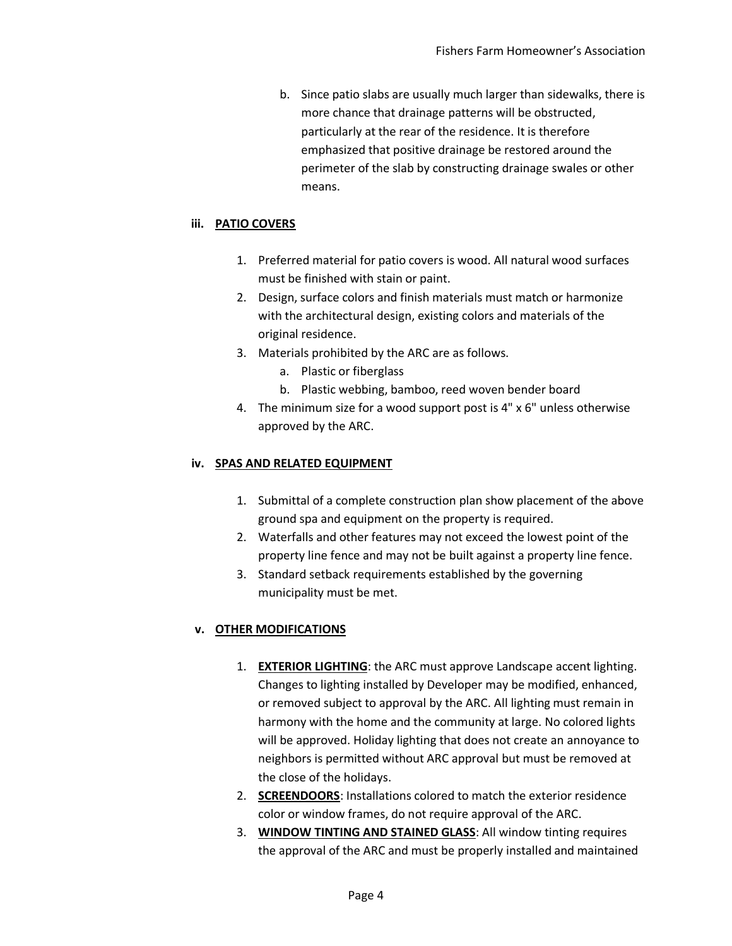b. Since patio slabs are usually much larger than sidewalks, there is more chance that drainage patterns will be obstructed, particularly at the rear of the residence. It is therefore emphasized that positive drainage be restored around the perimeter of the slab by constructing drainage swales or other means.

## **iii. PATIO COVERS**

- 1. Preferred material for patio covers is wood. All natural wood surfaces must be finished with stain or paint.
- 2. Design, surface colors and finish materials must match or harmonize with the architectural design, existing colors and materials of the original residence.
- 3. Materials prohibited by the ARC are as follows.
	- a. Plastic or fiberglass
	- b. Plastic webbing, bamboo, reed woven bender board
- 4. The minimum size for a wood support post is 4" x 6" unless otherwise approved by the ARC.

### **iv. SPAS AND RELATED EQUIPMENT**

- 1. Submittal of a complete construction plan show placement of the above ground spa and equipment on the property is required.
- 2. Waterfalls and other features may not exceed the lowest point of the property line fence and may not be built against a property line fence.
- 3. Standard setback requirements established by the governing municipality must be met.

### **v. OTHER MODIFICATIONS**

- 1. **EXTERIOR LIGHTING**: the ARC must approve Landscape accent lighting. Changes to lighting installed by Developer may be modified, enhanced, or removed subject to approval by the ARC. All lighting must remain in harmony with the home and the community at large. No colored lights will be approved. Holiday lighting that does not create an annoyance to neighbors is permitted without ARC approval but must be removed at the close of the holidays.
- 2. **SCREENDOORS**: Installations colored to match the exterior residence color or window frames, do not require approval of the ARC.
- 3. **WINDOW TINTING AND STAINED GLASS**: All window tinting requires the approval of the ARC and must be properly installed and maintained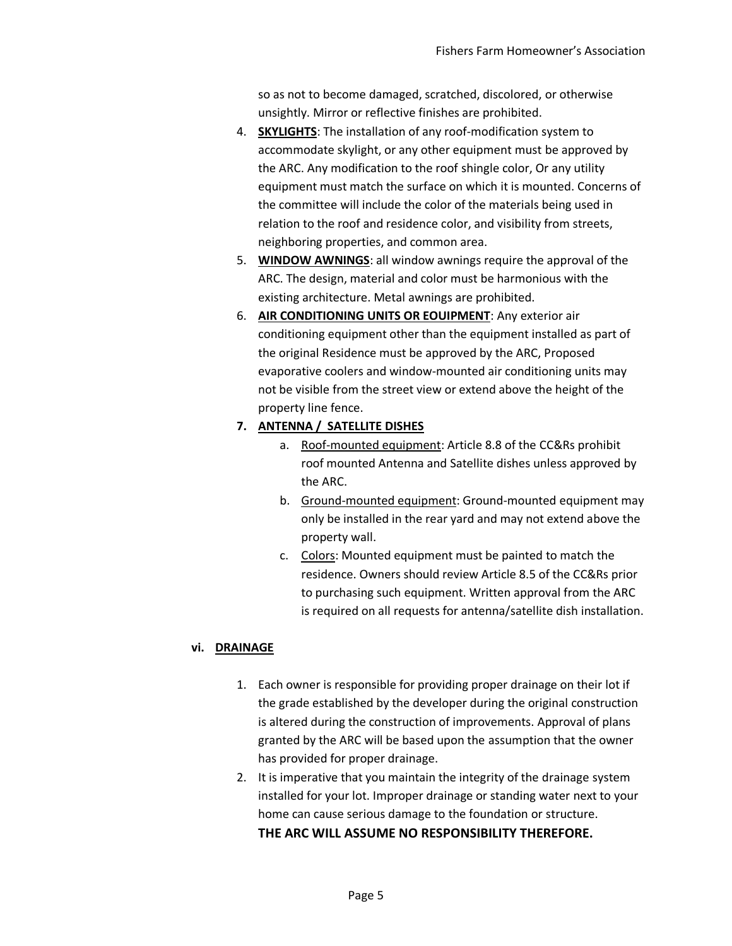so as not to become damaged, scratched, discolored, or otherwise unsightly. Mirror or reflective finishes are prohibited.

- 4. **SKYLIGHTS**: The installation of any roof-modification system to accommodate skylight, or any other equipment must be approved by the ARC. Any modification to the roof shingle color, Or any utility equipment must match the surface on which it is mounted. Concerns of the committee will include the color of the materials being used in relation to the roof and residence color, and visibility from streets, neighboring properties, and common area.
- 5. **WINDOW AWNINGS**: all window awnings require the approval of the ARC. The design, material and color must be harmonious with the existing architecture. Metal awnings are prohibited.
- 6. **AIR CONDITIONING UNITS OR EOUIPMENT**: Any exterior air conditioning equipment other than the equipment installed as part of the original Residence must be approved by the ARC, Proposed evaporative coolers and window-mounted air conditioning units may not be visible from the street view or extend above the height of the property line fence.

# **7. ANTENNA / SATELLITE DISHES**

- a. Roof-mounted equipment: Article 8.8 of the CC&Rs prohibit roof mounted Antenna and Satellite dishes unless approved by the ARC.
- b. Ground-mounted equipment: Ground-mounted equipment may only be installed in the rear yard and may not extend above the property wall.
- c. Colors: Mounted equipment must be painted to match the residence. Owners should review Article 8.5 of the CC&Rs prior to purchasing such equipment. Written approval from the ARC is required on all requests for antenna/satellite dish installation.

### **vi. DRAINAGE**

- 1. Each owner is responsible for providing proper drainage on their lot if the grade established by the developer during the original construction is altered during the construction of improvements. Approval of plans granted by the ARC will be based upon the assumption that the owner has provided for proper drainage.
- 2. It is imperative that you maintain the integrity of the drainage system installed for your lot. Improper drainage or standing water next to your home can cause serious damage to the foundation or structure. **THE ARC WILL ASSUME NO RESPONSIBILITY THEREFORE.**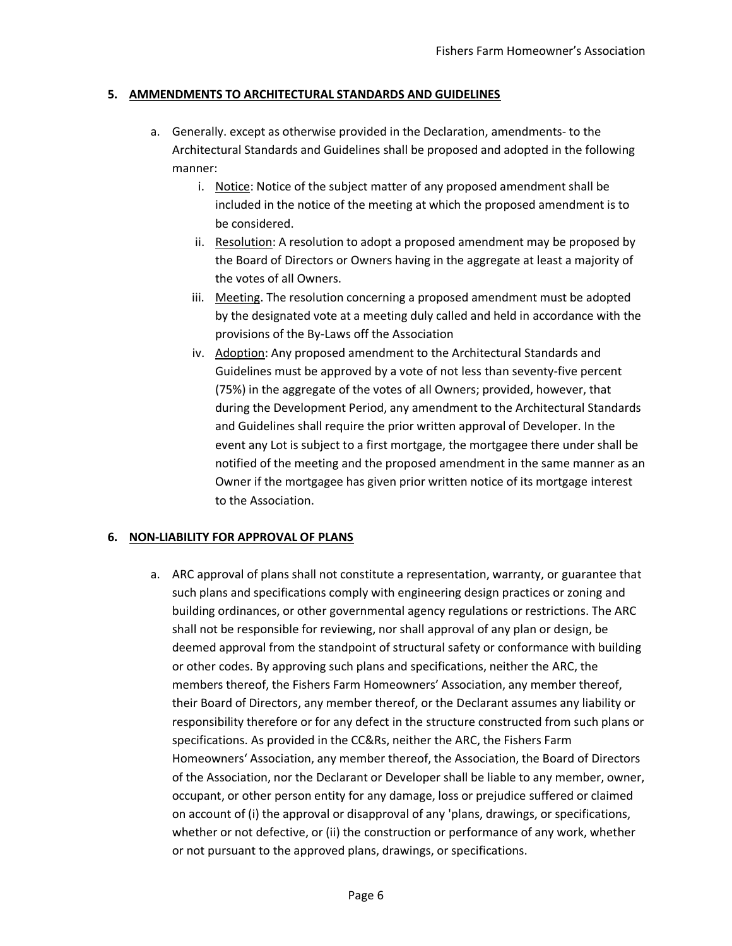### **5. AMMENDMENTS TO ARCHITECTURAL STANDARDS AND GUIDELINES**

- a. Generally. except as otherwise provided in the Declaration, amendments- to the Architectural Standards and Guidelines shall be proposed and adopted in the following manner:
	- i. Notice: Notice of the subject matter of any proposed amendment shall be included in the notice of the meeting at which the proposed amendment is to be considered.
	- ii. Resolution: A resolution to adopt a proposed amendment may be proposed by the Board of Directors or Owners having in the aggregate at least a majority of the votes of all Owners.
	- iii. Meeting. The resolution concerning a proposed amendment must be adopted by the designated vote at a meeting duly called and held in accordance with the provisions of the By-Laws off the Association
	- iv. Adoption: Any proposed amendment to the Architectural Standards and Guidelines must be approved by a vote of not less than seventy-five percent (75%) in the aggregate of the votes of all Owners; provided, however, that during the Development Period, any amendment to the Architectural Standards and Guidelines shall require the prior written approval of Developer. In the event any Lot is subject to a first mortgage, the mortgagee there under shall be notified of the meeting and the proposed amendment in the same manner as an Owner if the mortgagee has given prior written notice of its mortgage interest to the Association.

### **6. NON-LIABILITY FOR APPROVAL OF PLANS**

a. ARC approval of plans shall not constitute a representation, warranty, or guarantee that such plans and specifications comply with engineering design practices or zoning and building ordinances, or other governmental agency regulations or restrictions. The ARC shall not be responsible for reviewing, nor shall approval of any plan or design, be deemed approval from the standpoint of structural safety or conformance with building or other codes. By approving such plans and specifications, neither the ARC, the members thereof, the Fishers Farm Homeowners' Association, any member thereof, their Board of Directors, any member thereof, or the Declarant assumes any liability or responsibility therefore or for any defect in the structure constructed from such plans or specifications. As provided in the CC&Rs, neither the ARC, the Fishers Farm Homeowners' Association, any member thereof, the Association, the Board of Directors of the Association, nor the Declarant or Developer shall be liable to any member, owner, occupant, or other person entity for any damage, loss or prejudice suffered or claimed on account of (i) the approval or disapproval of any 'plans, drawings, or specifications, whether or not defective, or (ii) the construction or performance of any work, whether or not pursuant to the approved plans, drawings, or specifications.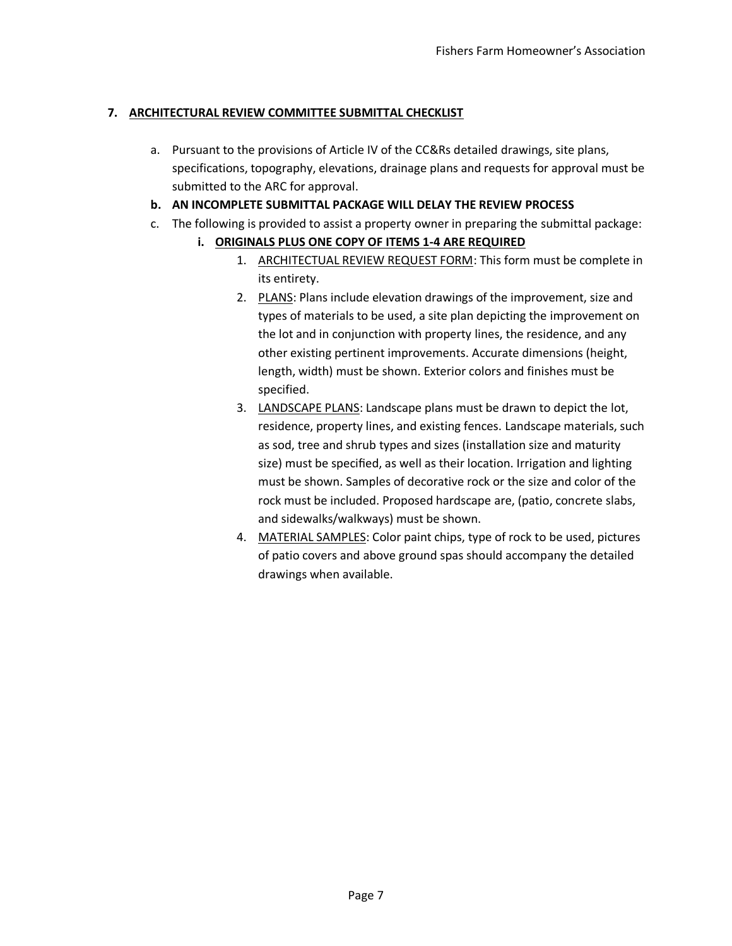## **7. ARCHITECTURAL REVIEW COMMITTEE SUBMITTAL CHECKLIST**

a. Pursuant to the provisions of Article IV of the CC&Rs detailed drawings, site plans, specifications, topography, elevations, drainage plans and requests for approval must be submitted to the ARC for approval.

## **b. AN INCOMPLETE SUBMITTAL PACKAGE WILL DELAY THE REVIEW PROCESS**

- c. The following is provided to assist a property owner in preparing the submittal package:
	- **i. ORIGINALS PLUS ONE COPY OF ITEMS 1-4 ARE REQUIRED**
		- 1. ARCHITECTUAL REVIEW REQUEST FORM: This form must be complete in its entirety.
		- 2. PLANS: Plans include elevation drawings of the improvement, size and types of materials to be used, a site plan depicting the improvement on the lot and in conjunction with property lines, the residence, and any other existing pertinent improvements. Accurate dimensions (height, length, width) must be shown. Exterior colors and finishes must be specified.
		- 3. LANDSCAPE PLANS: Landscape plans must be drawn to depict the lot, residence, property lines, and existing fences. Landscape materials, such as sod, tree and shrub types and sizes (installation size and maturity size) must be specified, as well as their location. Irrigation and lighting must be shown. Samples of decorative rock or the size and color of the rock must be included. Proposed hardscape are, (patio, concrete slabs, and sidewalks/walkways) must be shown.
		- 4. MATERIAL SAMPLES: Color paint chips, type of rock to be used, pictures of patio covers and above ground spas should accompany the detailed drawings when available.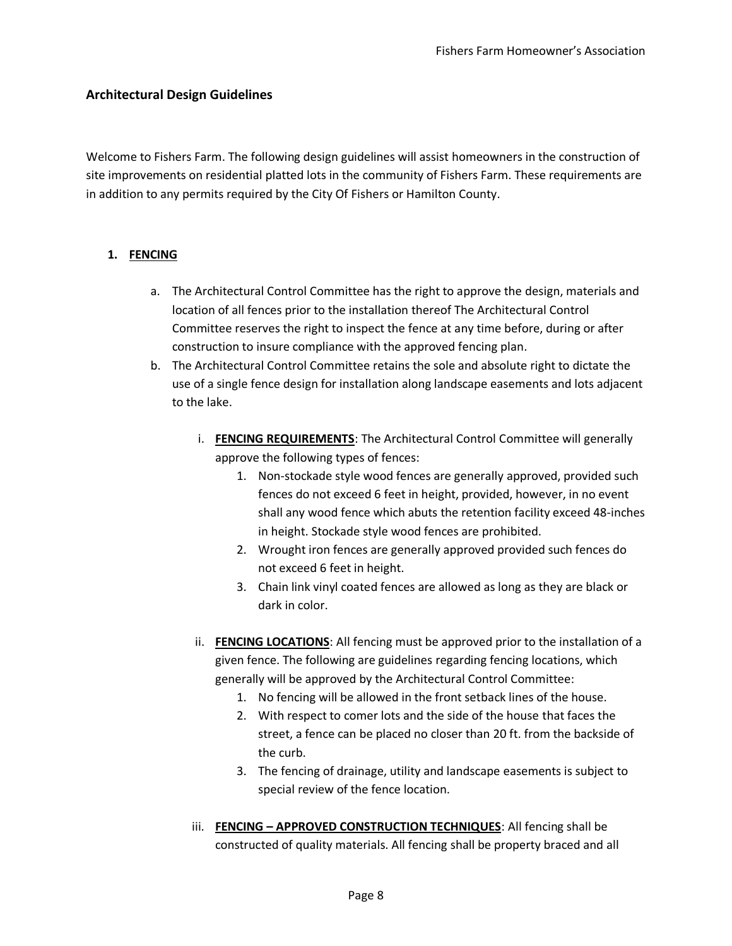### **Architectural Design Guidelines**

Welcome to Fishers Farm. The following design guidelines will assist homeowners in the construction of site improvements on residential platted lots in the community of Fishers Farm. These requirements are in addition to any permits required by the City Of Fishers or Hamilton County.

#### **1. FENCING**

- a. The Architectural Control Committee has the right to approve the design, materials and location of all fences prior to the installation thereof The Architectural Control Committee reserves the right to inspect the fence at any time before, during or after construction to insure compliance with the approved fencing plan.
- b. The Architectural Control Committee retains the sole and absolute right to dictate the use of a single fence design for installation along landscape easements and lots adjacent to the lake.
	- i. **FENCING REQUIREMENTS**: The Architectural Control Committee will generally approve the following types of fences:
		- 1. Non-stockade style wood fences are generally approved, provided such fences do not exceed 6 feet in height, provided, however, in no event shall any wood fence which abuts the retention facility exceed 48-inches in height. Stockade style wood fences are prohibited.
		- 2. Wrought iron fences are generally approved provided such fences do not exceed 6 feet in height.
		- 3. Chain link vinyl coated fences are allowed as long as they are black or dark in color.
	- ii. **FENCING LOCATIONS**: All fencing must be approved prior to the installation of a given fence. The following are guidelines regarding fencing locations, which generally will be approved by the Architectural Control Committee:
		- 1. No fencing will be allowed in the front setback lines of the house.
		- 2. With respect to comer lots and the side of the house that faces the street, a fence can be placed no closer than 20 ft. from the backside of the curb.
		- 3. The fencing of drainage, utility and landscape easements is subject to special review of the fence location.
	- iii. **FENCING – APPROVED CONSTRUCTION TECHNIQUES**: All fencing shall be constructed of quality materials. All fencing shall be property braced and all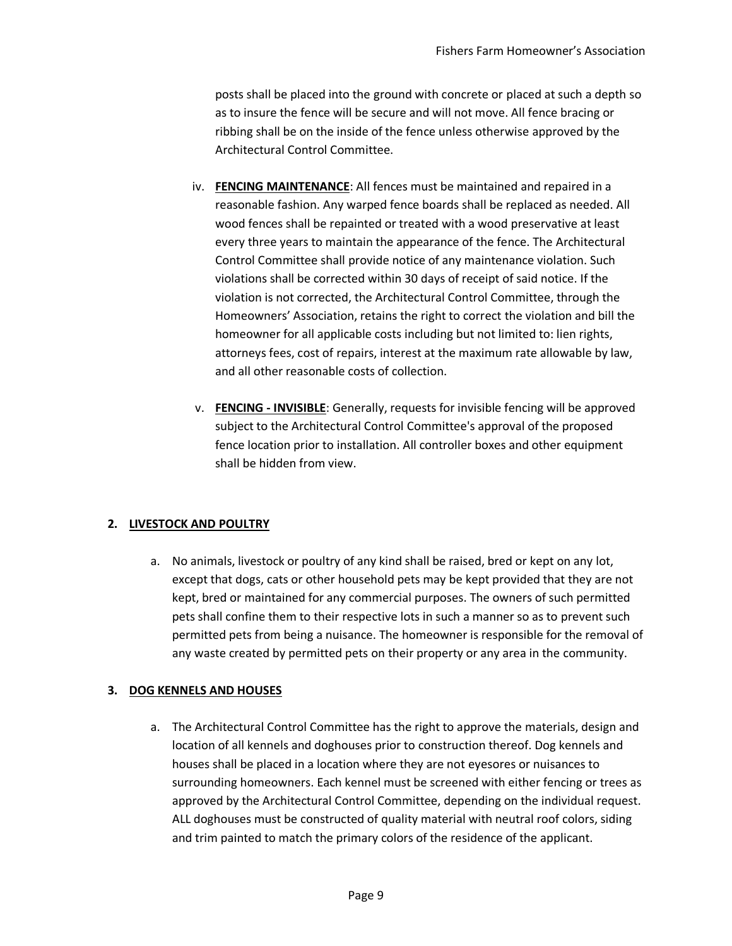posts shall be placed into the ground with concrete or placed at such a depth so as to insure the fence will be secure and will not move. All fence bracing or ribbing shall be on the inside of the fence unless otherwise approved by the Architectural Control Committee.

- iv. **FENCING MAINTENANCE**: All fences must be maintained and repaired in a reasonable fashion. Any warped fence boards shall be replaced as needed. All wood fences shall be repainted or treated with a wood preservative at least every three years to maintain the appearance of the fence. The Architectural Control Committee shall provide notice of any maintenance violation. Such violations shall be corrected within 30 days of receipt of said notice. If the violation is not corrected, the Architectural Control Committee, through the Homeowners' Association, retains the right to correct the violation and bill the homeowner for all applicable costs including but not limited to: lien rights, attorneys fees, cost of repairs, interest at the maximum rate allowable by law, and all other reasonable costs of collection.
- v. **FENCING - INVISIBLE**: Generally, requests for invisible fencing will be approved subject to the Architectural Control Committee's approval of the proposed fence location prior to installation. All controller boxes and other equipment shall be hidden from view.

### **2. LIVESTOCK AND POULTRY**

a. No animals, livestock or poultry of any kind shall be raised, bred or kept on any lot, except that dogs, cats or other household pets may be kept provided that they are not kept, bred or maintained for any commercial purposes. The owners of such permitted pets shall confine them to their respective lots in such a manner so as to prevent such permitted pets from being a nuisance. The homeowner is responsible for the removal of any waste created by permitted pets on their property or any area in the community.

### **3. DOG KENNELS AND HOUSES**

a. The Architectural Control Committee has the right to approve the materials, design and location of all kennels and doghouses prior to construction thereof. Dog kennels and houses shall be placed in a location where they are not eyesores or nuisances to surrounding homeowners. Each kennel must be screened with either fencing or trees as approved by the Architectural Control Committee, depending on the individual request. ALL doghouses must be constructed of quality material with neutral roof colors, siding and trim painted to match the primary colors of the residence of the applicant.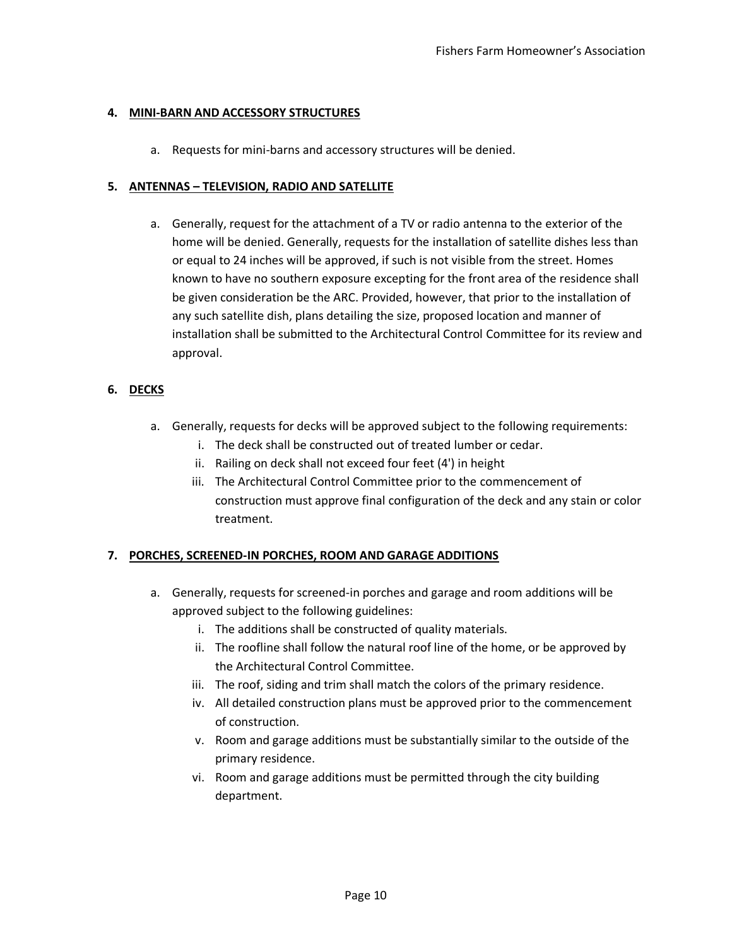#### **4. MINI-BARN AND ACCESSORY STRUCTURES**

a. Requests for mini-barns and accessory structures will be denied.

#### **5. ANTENNAS – TELEVISION, RADIO AND SATELLITE**

a. Generally, request for the attachment of a TV or radio antenna to the exterior of the home will be denied. Generally, requests for the installation of satellite dishes less than or equal to 24 inches will be approved, if such is not visible from the street. Homes known to have no southern exposure excepting for the front area of the residence shall be given consideration be the ARC. Provided, however, that prior to the installation of any such satellite dish, plans detailing the size, proposed location and manner of installation shall be submitted to the Architectural Control Committee for its review and approval.

#### **6. DECKS**

- a. Generally, requests for decks will be approved subject to the following requirements:
	- i. The deck shall be constructed out of treated lumber or cedar.
	- ii. Railing on deck shall not exceed four feet (4') in height
	- iii. The Architectural Control Committee prior to the commencement of construction must approve final configuration of the deck and any stain or color treatment.

### **7. PORCHES, SCREENED-IN PORCHES, ROOM AND GARAGE ADDITIONS**

- a. Generally, requests for screened-in porches and garage and room additions will be approved subject to the following guidelines:
	- i. The additions shall be constructed of quality materials.
	- ii. The roofline shall follow the natural roof line of the home, or be approved by the Architectural Control Committee.
	- iii. The roof, siding and trim shall match the colors of the primary residence.
	- iv. All detailed construction plans must be approved prior to the commencement of construction.
	- v. Room and garage additions must be substantially similar to the outside of the primary residence.
	- vi. Room and garage additions must be permitted through the city building department.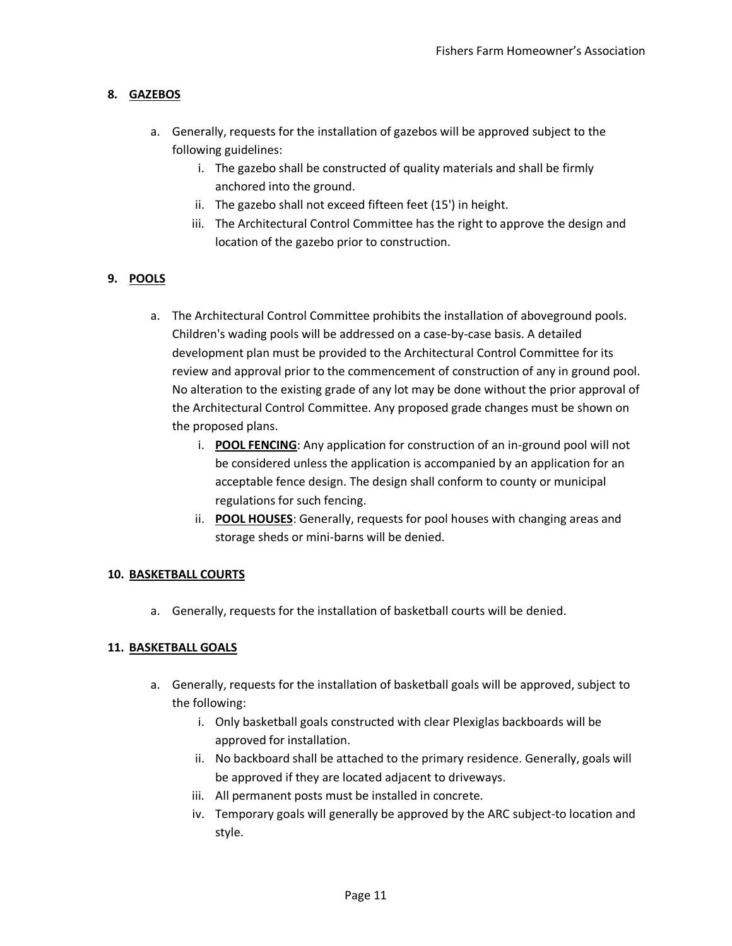## **8. GAZEBOS**

- a. Generally, requests for the installation of gazebos will be approved subject to the following guidelines:
	- i. The gazebo shall be constructed of quality materials and shall be firmly anchored into the ground.
	- ii. The gazebo shall not exceed fifteen feet (15') in height.
	- iii. The Architectural Control Committee has the right to approve the design and location of the gazebo prior to construction.

# **9. POOLS**

- a. The Architectural Control Committee prohibits the installation of aboveground pools. Children's wading pools will be addressed on a case-by-case basis. A detailed development plan must be provided to the Architectural Control Committee for its review and approval prior to the commencement of construction of any in ground pool. No alteration to the existing grade of any lot may be done without the prior approval of the Architectural Control Committee. Any proposed grade changes must be shown on the proposed plans.
	- i. **POOL FENCING**: Any application for construction of an in-ground pool will not be considered unless the application is accompanied by an application for an acceptable fence design. The design shall conform to county or municipal regulations for such fencing.
	- ii. **POOL HOUSES**: Generally, requests for pool houses with changing areas and storage sheds or mini-barns will be denied.

### **10. BASKETBALL COURTS**

a. Generally, requests for the installation of basketball courts will be denied.

### **11. BASKETBALL GOALS**

- a. Generally, requests for the installation of basketball goals will be approved, subject to the following:
	- i. Only basketball goals constructed with clear Plexiglas backboards will be approved for installation.
	- ii. No backboard shall be attached to the primary residence. Generally, goals will be approved if they are located adjacent to driveways.
	- iii. All permanent posts must be installed in concrete.
	- iv. Temporary goals will generally be approved by the ARC subject-to location and style.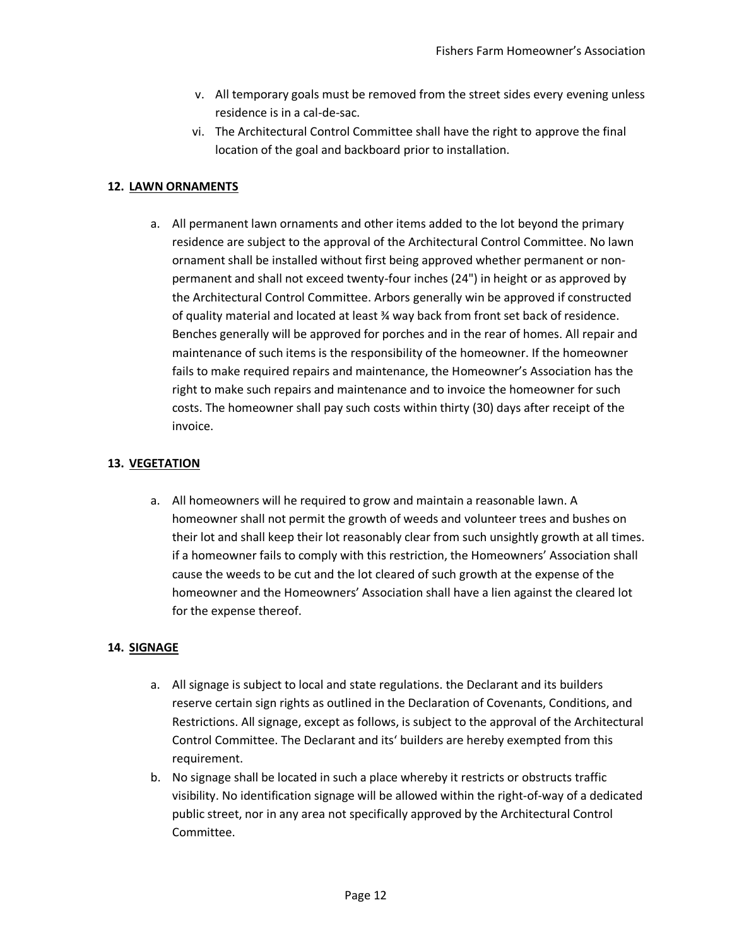- v. All temporary goals must be removed from the street sides every evening unless residence is in a cal-de-sac.
- vi. The Architectural Control Committee shall have the right to approve the final location of the goal and backboard prior to installation.

### **12. LAWN ORNAMENTS**

a. All permanent lawn ornaments and other items added to the lot beyond the primary residence are subject to the approval of the Architectural Control Committee. No lawn ornament shall be installed without first being approved whether permanent or nonpermanent and shall not exceed twenty-four inches (24") in height or as approved by the Architectural Control Committee. Arbors generally win be approved if constructed of quality material and located at least ¾ way back from front set back of residence. Benches generally will be approved for porches and in the rear of homes. All repair and maintenance of such items is the responsibility of the homeowner. If the homeowner fails to make required repairs and maintenance, the Homeowner's Association has the right to make such repairs and maintenance and to invoice the homeowner for such costs. The homeowner shall pay such costs within thirty (30) days after receipt of the invoice.

## **13. VEGETATION**

a. All homeowners will he required to grow and maintain a reasonable lawn. A homeowner shall not permit the growth of weeds and volunteer trees and bushes on their lot and shall keep their lot reasonably clear from such unsightly growth at all times. if a homeowner fails to comply with this restriction, the Homeowners' Association shall cause the weeds to be cut and the lot cleared of such growth at the expense of the homeowner and the Homeowners' Association shall have a lien against the cleared lot for the expense thereof.

# **14. SIGNAGE**

- a. All signage is subject to local and state regulations. the Declarant and its builders reserve certain sign rights as outlined in the Declaration of Covenants, Conditions, and Restrictions. All signage, except as follows, is subject to the approval of the Architectural Control Committee. The Declarant and its' builders are hereby exempted from this requirement.
- b. No signage shall be located in such a place whereby it restricts or obstructs traffic visibility. No identification signage will be allowed within the right-of-way of a dedicated public street, nor in any area not specifically approved by the Architectural Control Committee.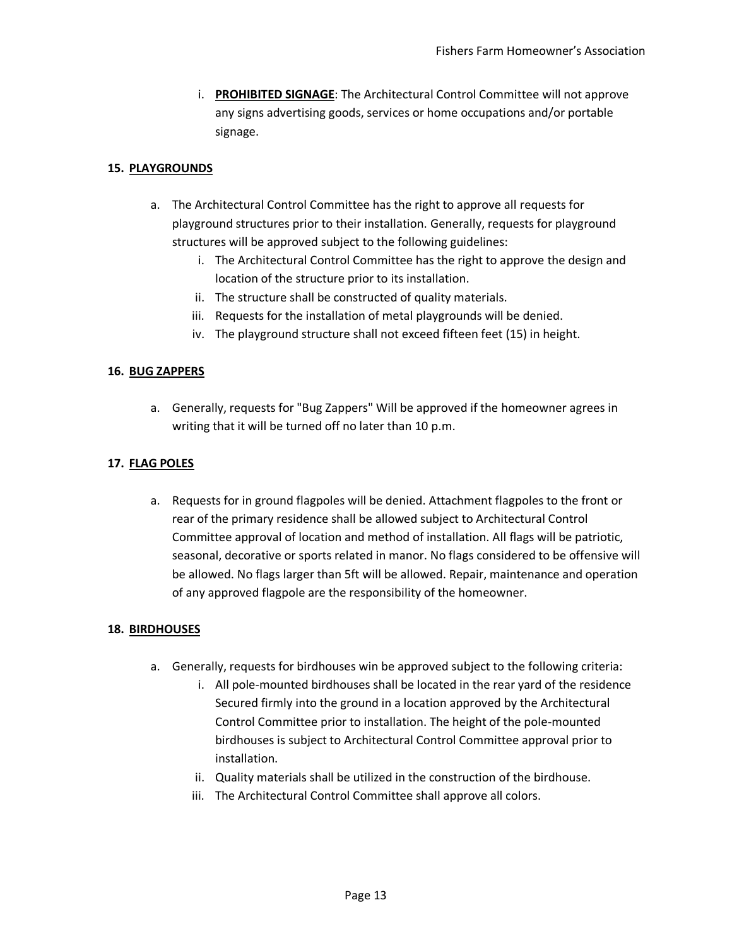i. **PROHIBITED SIGNAGE**: The Architectural Control Committee will not approve any signs advertising goods, services or home occupations and/or portable signage.

## **15. PLAYGROUNDS**

- a. The Architectural Control Committee has the right to approve all requests for playground structures prior to their installation. Generally, requests for playground structures will be approved subject to the following guidelines:
	- i. The Architectural Control Committee has the right to approve the design and location of the structure prior to its installation.
	- ii. The structure shall be constructed of quality materials.
	- iii. Requests for the installation of metal playgrounds will be denied.
	- iv. The playground structure shall not exceed fifteen feet (15) in height.

### **16. BUG ZAPPERS**

a. Generally, requests for "Bug Zappers" Will be approved if the homeowner agrees in writing that it will be turned off no later than 10 p.m.

## **17. FLAG POLES**

a. Requests for in ground flagpoles will be denied. Attachment flagpoles to the front or rear of the primary residence shall be allowed subject to Architectural Control Committee approval of location and method of installation. All flags will be patriotic, seasonal, decorative or sports related in manor. No flags considered to be offensive will be allowed. No flags larger than 5ft will be allowed. Repair, maintenance and operation of any approved flagpole are the responsibility of the homeowner.

### **18. BIRDHOUSES**

- a. Generally, requests for birdhouses win be approved subject to the following criteria:
	- i. All pole-mounted birdhouses shall be located in the rear yard of the residence Secured firmly into the ground in a location approved by the Architectural Control Committee prior to installation. The height of the pole-mounted birdhouses is subject to Architectural Control Committee approval prior to installation.
	- ii. Quality materials shall be utilized in the construction of the birdhouse.
	- iii. The Architectural Control Committee shall approve all colors.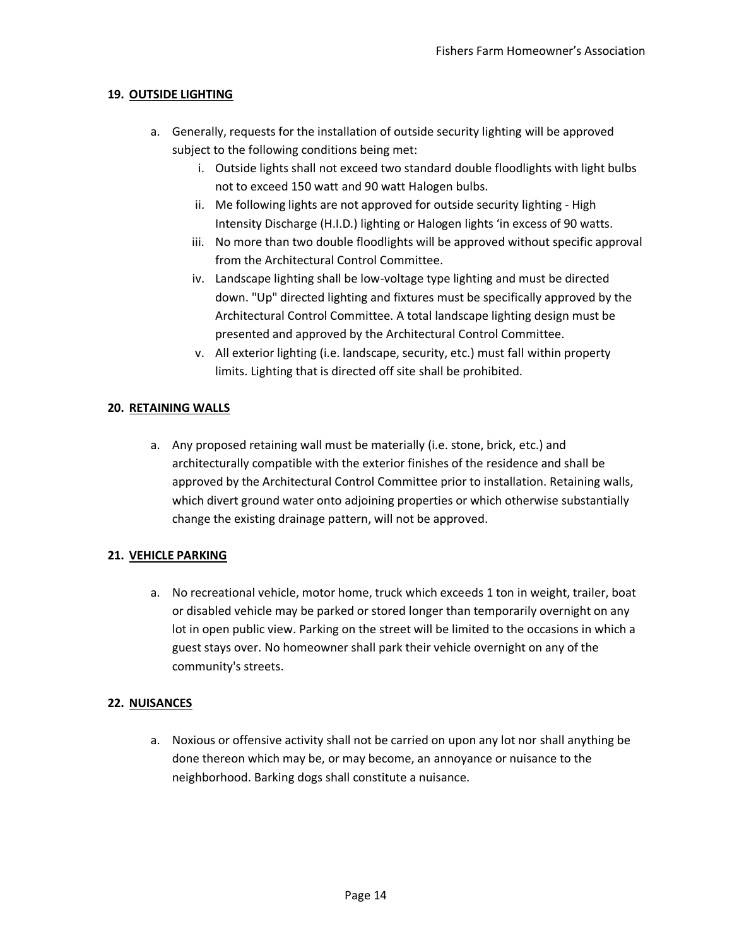## **19. OUTSIDE LIGHTING**

- a. Generally, requests for the installation of outside security lighting will be approved subject to the following conditions being met:
	- i. Outside lights shall not exceed two standard double floodlights with light bulbs not to exceed 150 watt and 90 watt Halogen bulbs.
	- ii. Me following lights are not approved for outside security lighting High Intensity Discharge (H.I.D.) lighting or Halogen lights 'in excess of 90 watts.
	- iii. No more than two double floodlights will be approved without specific approval from the Architectural Control Committee.
	- iv. Landscape lighting shall be low-voltage type lighting and must be directed down. "Up" directed lighting and fixtures must be specifically approved by the Architectural Control Committee. A total landscape lighting design must be presented and approved by the Architectural Control Committee.
	- v. All exterior lighting (i.e. landscape, security, etc.) must fall within property limits. Lighting that is directed off site shall be prohibited.

## **20. RETAINING WALLS**

a. Any proposed retaining wall must be materially (i.e. stone, brick, etc.) and architecturally compatible with the exterior finishes of the residence and shall be approved by the Architectural Control Committee prior to installation. Retaining walls, which divert ground water onto adjoining properties or which otherwise substantially change the existing drainage pattern, will not be approved.

# **21. VEHICLE PARKING**

a. No recreational vehicle, motor home, truck which exceeds 1 ton in weight, trailer, boat or disabled vehicle may be parked or stored longer than temporarily overnight on any lot in open public view. Parking on the street will be limited to the occasions in which a guest stays over. No homeowner shall park their vehicle overnight on any of the community's streets.

### **22. NUISANCES**

a. Noxious or offensive activity shall not be carried on upon any lot nor shall anything be done thereon which may be, or may become, an annoyance or nuisance to the neighborhood. Barking dogs shall constitute a nuisance.